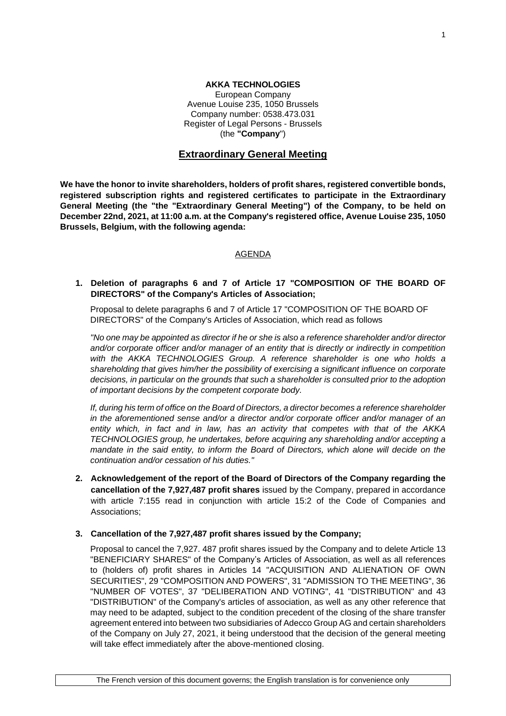## **AKKA TECHNOLOGIES**

European Company Avenue Louise 235, 1050 Brussels Company number: 0538.473.031 Register of Legal Persons - Brussels (the **"Company**")

# **Extraordinary General Meeting**

**We have the honor to invite shareholders, holders of profit shares, registered convertible bonds, registered subscription rights and registered certificates to participate in the Extraordinary General Meeting (the "the "Extraordinary General Meeting") of the Company, to be held on December 22nd, 2021, at 11:00 a.m. at the Company's registered office, Avenue Louise 235, 1050 Brussels, Belgium, with the following agenda:**

### AGENDA

## **1. Deletion of paragraphs 6 and 7 of Article 17 "COMPOSITION OF THE BOARD OF DIRECTORS" of the Company's Articles of Association;**

Proposal to delete paragraphs 6 and 7 of Article 17 "COMPOSITION OF THE BOARD OF DIRECTORS" of the Company's Articles of Association, which read as follows

*"No one may be appointed as director if he or she is also a reference shareholder and/or director and/or corporate officer and/or manager of an entity that is directly or indirectly in competition with the AKKA TECHNOLOGIES Group. A reference shareholder is one who holds a shareholding that gives him/her the possibility of exercising a significant influence on corporate decisions, in particular on the grounds that such a shareholder is consulted prior to the adoption of important decisions by the competent corporate body.* 

*If, during his term of office on the Board of Directors, a director becomes a reference shareholder in the aforementioned sense and/or a director and/or corporate officer and/or manager of an entity which, in fact and in law, has an activity that competes with that of the AKKA TECHNOLOGIES group, he undertakes, before acquiring any shareholding and/or accepting a mandate in the said entity, to inform the Board of Directors, which alone will decide on the continuation and/or cessation of his duties."* 

**2. Acknowledgement of the report of the Board of Directors of the Company regarding the cancellation of the 7,927,487 profit shares** issued by the Company, prepared in accordance with article 7:155 read in conjunction with article 15:2 of the Code of Companies and Associations;

## **3. Cancellation of the 7,927,487 profit shares issued by the Company;**

Proposal to cancel the 7,927. 487 profit shares issued by the Company and to delete Article 13 "BENEFICIARY SHARES" of the Company's Articles of Association, as well as all references to (holders of) profit shares in Articles 14 "ACQUISITION AND ALIENATION OF OWN SECURITIES", 29 "COMPOSITION AND POWERS", 31 "ADMISSION TO THE MEETING", 36 "NUMBER OF VOTES", 37 "DELIBERATION AND VOTING", 41 "DISTRIBUTION" and 43 "DISTRIBUTION" of the Company's articles of association, as well as any other reference that may need to be adapted, subject to the condition precedent of the closing of the share transfer agreement entered into between two subsidiaries of Adecco Group AG and certain shareholders of the Company on July 27, 2021, it being understood that the decision of the general meeting will take effect immediately after the above-mentioned closing.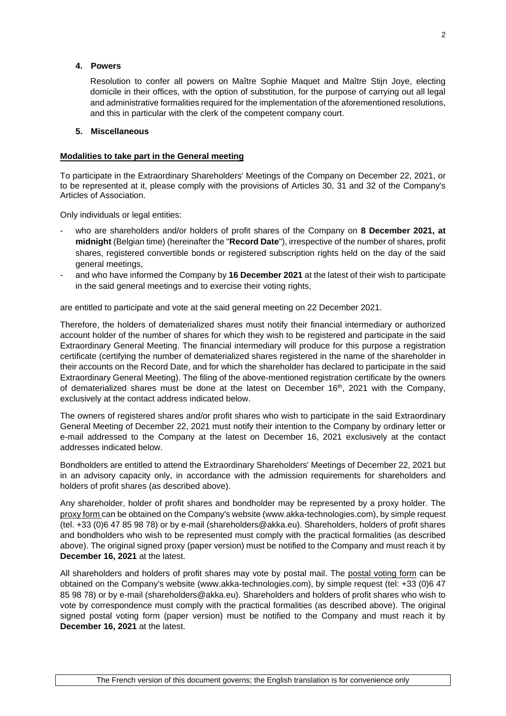## **4. Powers**

Resolution to confer all powers on Maître Sophie Maquet and Maître Stijn Joye, electing domicile in their offices, with the option of substitution, for the purpose of carrying out all legal and administrative formalities required for the implementation of the aforementioned resolutions, and this in particular with the clerk of the competent company court.

#### **5. Miscellaneous**

### **Modalities to take part in the General meeting**

To participate in the Extraordinary Shareholders' Meetings of the Company on December 22, 2021, or to be represented at it, please comply with the provisions of Articles 30, 31 and 32 of the Company's Articles of Association.

Only individuals or legal entities:

- who are shareholders and/or holders of profit shares of the Company on **8 December 2021, at midnight** (Belgian time) (hereinafter the "**Record Date**"), irrespective of the number of shares, profit shares, registered convertible bonds or registered subscription rights held on the day of the said general meetings,
- and who have informed the Company by **16 December 2021** at the latest of their wish to participate in the said general meetings and to exercise their voting rights,

are entitled to participate and vote at the said general meeting on 22 December 2021.

Therefore, the holders of dematerialized shares must notify their financial intermediary or authorized account holder of the number of shares for which they wish to be registered and participate in the said Extraordinary General Meeting. The financial intermediary will produce for this purpose a registration certificate (certifying the number of dematerialized shares registered in the name of the shareholder in their accounts on the Record Date, and for which the shareholder has declared to participate in the said Extraordinary General Meeting). The filing of the above-mentioned registration certificate by the owners of dematerialized shares must be done at the latest on December  $16<sup>th</sup>$ , 2021 with the Company, exclusively at the contact address indicated below.

The owners of registered shares and/or profit shares who wish to participate in the said Extraordinary General Meeting of December 22, 2021 must notify their intention to the Company by ordinary letter or e-mail addressed to the Company at the latest on December 16, 2021 exclusively at the contact addresses indicated below.

Bondholders are entitled to attend the Extraordinary Shareholders' Meetings of December 22, 2021 but in an advisory capacity only, in accordance with the admission requirements for shareholders and holders of profit shares (as described above).

Any shareholder, holder of profit shares and bondholder may be represented by a proxy holder. The proxy form can be obtained on the Company's website (www.akka-technologies.com), by simple request (tel. +33 (0)6 47 85 98 78) or by e-mail (shareholders@akka.eu). Shareholders, holders of profit shares and bondholders who wish to be represented must comply with the practical formalities (as described above). The original signed proxy (paper version) must be notified to the Company and must reach it by **December 16, 2021** at the latest.

All shareholders and holders of profit shares may vote by postal mail. The postal voting form can be obtained on the Company's website (www.akka-technologies.com), by simple request (tel: +33 (0)6 47 85 98 78) or by e-mail (shareholders@akka.eu). Shareholders and holders of profit shares who wish to vote by correspondence must comply with the practical formalities (as described above). The original signed postal voting form (paper version) must be notified to the Company and must reach it by **December 16, 2021** at the latest.